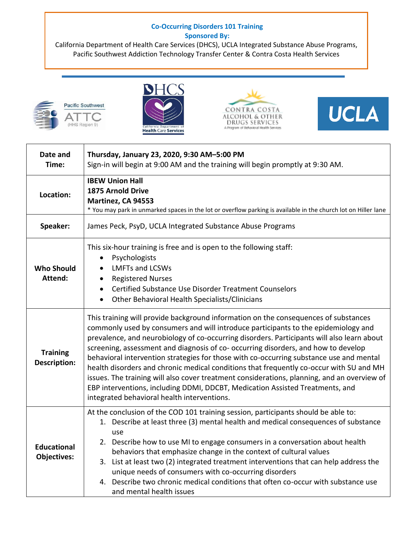## **Co-Occurring Disorders 101 Training Sponsored By:**

California Department of Health Care Services (DHCS), UCLA Integrated Substance Abuse Programs, Pacific Southwest Addiction Technology Transfer Center & Contra Costa Health Services









| Date and<br>Time:                        | Thursday, January 23, 2020, 9:30 AM-5:00 PM<br>Sign-in will begin at 9:00 AM and the training will begin promptly at 9:30 AM.                                                                                                                                                                                                                                                                                                                                                                                                                                                                                                                                                                                                                                                      |
|------------------------------------------|------------------------------------------------------------------------------------------------------------------------------------------------------------------------------------------------------------------------------------------------------------------------------------------------------------------------------------------------------------------------------------------------------------------------------------------------------------------------------------------------------------------------------------------------------------------------------------------------------------------------------------------------------------------------------------------------------------------------------------------------------------------------------------|
| Location:                                | <b>IBEW Union Hall</b><br><b>1875 Arnold Drive</b><br>Martinez, CA 94553<br>* You may park in unmarked spaces in the lot or overflow parking is available in the church lot on Hiller lane                                                                                                                                                                                                                                                                                                                                                                                                                                                                                                                                                                                         |
| Speaker:                                 | James Peck, PsyD, UCLA Integrated Substance Abuse Programs                                                                                                                                                                                                                                                                                                                                                                                                                                                                                                                                                                                                                                                                                                                         |
| <b>Who Should</b><br>Attend:             | This six-hour training is free and is open to the following staff:<br>Psychologists<br>$\bullet$<br><b>LMFTs and LCSWs</b><br>$\bullet$<br><b>Registered Nurses</b><br>$\bullet$<br>Certified Substance Use Disorder Treatment Counselors<br>$\bullet$<br>Other Behavioral Health Specialists/Clinicians<br>$\bullet$                                                                                                                                                                                                                                                                                                                                                                                                                                                              |
| <b>Training</b><br><b>Description:</b>   | This training will provide background information on the consequences of substances<br>commonly used by consumers and will introduce participants to the epidemiology and<br>prevalence, and neurobiology of co-occurring disorders. Participants will also learn about<br>screening, assessment and diagnosis of co- occurring disorders, and how to develop<br>behavioral intervention strategies for those with co-occurring substance use and mental<br>health disorders and chronic medical conditions that frequently co-occur with SU and MH<br>issues. The training will also cover treatment considerations, planning, and an overview of<br>EBP interventions, including DDMI, DDCBT, Medication Assisted Treatments, and<br>integrated behavioral health interventions. |
| <b>Educational</b><br><b>Objectives:</b> | At the conclusion of the COD 101 training session, participants should be able to:<br>1. Describe at least three (3) mental health and medical consequences of substance<br>use<br>2. Describe how to use MI to engage consumers in a conversation about health<br>behaviors that emphasize change in the context of cultural values<br>List at least two (2) integrated treatment interventions that can help address the<br>3.<br>unique needs of consumers with co-occurring disorders<br>Describe two chronic medical conditions that often co-occur with substance use<br>4.<br>and mental health issues                                                                                                                                                                      |